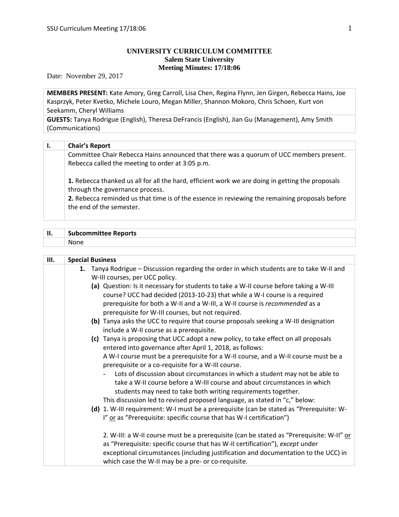# **UNIVERSITY CURRICULUM COMMITTEE Salem State University Meeting Minutes: 17/18:06**

Date: November 29, 2017

**MEMBERS PRESENT:** Kate Amory, Greg Carroll, Lisa Chen, Regina Flynn, Jen Girgen, Rebecca Hains, Joe Kasprzyk, Peter Kvetko, Michele Louro, Megan Miller, Shannon Mokoro, Chris Schoen, Kurt von Seekamm, Cheryl Williams

**GUESTS:** Tanya Rodrigue (English), Theresa DeFrancis (English), Jian Gu (Management), Amy Smith (Communications)

| Ι. | <b>Chair's Report</b>                                                                                                                                                                                                                                             |
|----|-------------------------------------------------------------------------------------------------------------------------------------------------------------------------------------------------------------------------------------------------------------------|
|    | Committee Chair Rebecca Hains announced that there was a quorum of UCC members present.<br>Rebecca called the meeting to order at 3:05 p.m.                                                                                                                       |
|    | 1. Rebecca thanked us all for all the hard, efficient work we are doing in getting the proposals<br>through the governance process.<br>2. Rebecca reminded us that time is of the essence in reviewing the remaining proposals before<br>the end of the semester. |

| -11<br> | <b>Subcommittee Reports</b> |
|---------|-----------------------------|
|         |                             |
|         |                             |

| Ш. | <b>Special Business</b>                                              |                                                                                                                                                                                                                                                                  |
|----|----------------------------------------------------------------------|------------------------------------------------------------------------------------------------------------------------------------------------------------------------------------------------------------------------------------------------------------------|
|    | W-III courses, per UCC policy.                                       | 1. Tanya Rodrigue - Discussion regarding the order in which students are to take W-II and                                                                                                                                                                        |
|    | prerequisite for W-III courses, but not required.                    | (a) Question: Is it necessary for students to take a W-II course before taking a W-III<br>course? UCC had decided (2013-10-23) that while a W-I course is a required<br>prerequisite for both a W-II and a W-III, a W-II course is recommended as a              |
|    | include a W-II course as a prerequisite.                             | (b) Tanya asks the UCC to require that course proposals seeking a W-III designation                                                                                                                                                                              |
|    | entered into governance after April 1, 2018, as follows:             | (c) Tanya is proposing that UCC adopt a new policy, to take effect on all proposals                                                                                                                                                                              |
|    | prerequisite or a co-requisite for a W-III course.                   | A W-I course must be a prerequisite for a W-II course, and a W-II course must be a                                                                                                                                                                               |
|    |                                                                      | Lots of discussion about circumstances in which a student may not be able to<br>take a W-II course before a W-III course and about circumstances in which<br>students may need to take both writing requirements together.                                       |
|    |                                                                      | This discussion led to revised proposed language, as stated in "c," below:                                                                                                                                                                                       |
|    | I" or as "Prerequisite: specific course that has W-I certification") | (d) 1. W-III requirement: W-I must be a prerequisite (can be stated as "Prerequisite: W-                                                                                                                                                                         |
|    | which case the W-II may be a pre- or co-requisite.                   | 2. W-III: a W-II course must be a prerequisite (can be stated as "Prerequisite: W-II" or<br>as "Prerequisite: specific course that has W-II certification"), except under<br>exceptional circumstances (including justification and documentation to the UCC) in |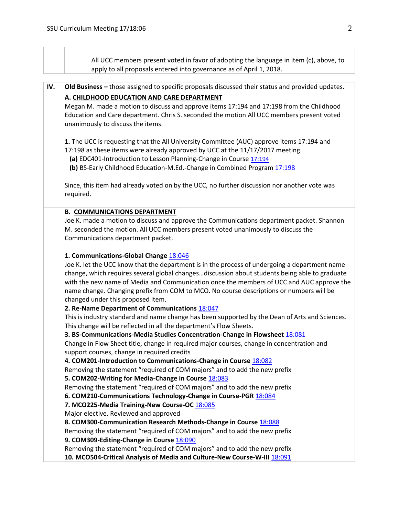|     | All UCC members present voted in favor of adopting the language in item (c), above, to<br>apply to all proposals entered into governance as of April 1, 2018.                                                                                                                                                                                                                                                                                                                                                          |
|-----|------------------------------------------------------------------------------------------------------------------------------------------------------------------------------------------------------------------------------------------------------------------------------------------------------------------------------------------------------------------------------------------------------------------------------------------------------------------------------------------------------------------------|
| IV. | Old Business - those assigned to specific proposals discussed their status and provided updates.                                                                                                                                                                                                                                                                                                                                                                                                                       |
|     |                                                                                                                                                                                                                                                                                                                                                                                                                                                                                                                        |
|     | A. CHILDHOOD EDUCATION AND CARE DEPARTMENT<br>Megan M. made a motion to discuss and approve items 17:194 and 17:198 from the Childhood<br>Education and Care department. Chris S. seconded the motion All UCC members present voted<br>unanimously to discuss the items.                                                                                                                                                                                                                                               |
|     | 1. The UCC is requesting that the All University Committee (AUC) approve items 17:194 and<br>17:198 as these items were already approved by UCC at the 11/17/2017 meeting<br>(a) EDC401-Introduction to Lesson Planning-Change in Course 17:194<br>(b) BS-Early Childhood Education-M.Ed.-Change in Combined Program 17:198                                                                                                                                                                                            |
|     | Since, this item had already voted on by the UCC, no further discussion nor another vote was<br>required.                                                                                                                                                                                                                                                                                                                                                                                                              |
|     | <b>B. COMMUNICATIONS DEPARTMENT</b><br>Joe K. made a motion to discuss and approve the Communications department packet. Shannon<br>M. seconded the motion. All UCC members present voted unanimously to discuss the<br>Communications department packet.                                                                                                                                                                                                                                                              |
|     | 1. Communications-Global Change 18:046<br>Joe K. let the UCC know that the department is in the process of undergoing a department name<br>change, which requires several global changesdiscussion about students being able to graduate<br>with the new name of Media and Communication once the members of UCC and AUC approve the<br>name change. Changing prefix from COM to MCO. No course descriptions or numbers will be<br>changed under this proposed item.<br>2. Re-Name Department of Communications 18:047 |
|     | This is industry standard and name change has been supported by the Dean of Arts and Sciences.<br>This change will be reflected in all the department's Flow Sheets.<br>3. BS-Communications-Media Studies Concentration-Change in Flowsheet 18:081<br>Change in Flow Sheet title, change in required major courses, change in concentration and<br>support courses, change in required credits                                                                                                                        |
|     | 4. COM201-Introduction to Communications-Change in Course 18:082<br>Removing the statement "required of COM majors" and to add the new prefix<br>5. COM202-Writing for Media-Change in Course 18:083<br>Removing the statement "required of COM majors" and to add the new prefix<br>6. COM210-Communications Technology-Change in Course-PGR 18:084                                                                                                                                                                   |
|     | 7. MCO225-Media Training-New Course-OC 18:085<br>Major elective. Reviewed and approved<br>8. COM300-Communication Research Methods-Change in Course 18:088<br>Removing the statement "required of COM majors" and to add the new prefix<br>9. COM309-Editing-Change in Course 18:090                                                                                                                                                                                                                                   |
|     | Removing the statement "required of COM majors" and to add the new prefix<br>10. MCO504-Critical Analysis of Media and Culture-New Course-W-III 18:091                                                                                                                                                                                                                                                                                                                                                                 |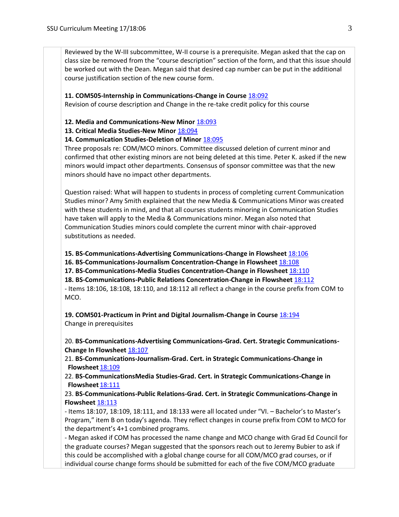Reviewed by the W-III subcommittee, W-II course is a prerequisite. Megan asked that the cap on class size be removed from the "course description" section of the form, and that this issue should be worked out with the Dean. Megan said that desired cap number can be put in the additional course justification section of the new course form.

## **11. COM505-Internship in Communications-Change in Course** [18:092](https://polaris.salemstate.edu/governance/?trackingNum=18:092&search=all)

Revision of course description and Change in the re-take credit policy for this course

### **12. Media and Communications-New Minor** [18:093](https://polaris.salemstate.edu/governance/?trackingNum=18:093&search=all)

**13. Critical Media Studies-New Minor** [18:094](https://polaris.salemstate.edu/governance/?trackingNum=18:094&search=all)

## **14. Communication Studies-Deletion of Minor** [18:095](https://polaris.salemstate.edu/governance/?trackingNum=18:095&search=all)

Three proposals re: COM/MCO minors. Committee discussed deletion of current minor and confirmed that other existing minors are not being deleted at this time. Peter K. asked if the new minors would impact other departments. Consensus of sponsor committee was that the new minors should have no impact other departments.

Question raised: What will happen to students in process of completing current Communication Studies minor? Amy Smith explained that the new Media & Communications Minor was created with these students in mind, and that all courses students minoring in Communication Studies have taken will apply to the Media & Communications minor. Megan also noted that Communication Studies minors could complete the current minor with chair-approved substitutions as needed.

#### **15. BS-Communications-Advertising Communications-Change in Flowsheet** [18:106](https://polaris.salemstate.edu/governance/?trackingNum=18:106&search=all) **[18:106](https://polaris.salemstate.edu/governance/?trackingNum=18:106&search=all)**

**16. BS-Communications-Journalism Concentration-Change in Flowsheet** [18:108](https://polaris.salemstate.edu/governance/?trackingNum=18:108&search=all) **[18:108](https://polaris.salemstate.edu/governance/?trackingNum=18:108&search=all)**

**17. BS-Communications-Media Studies Concentration-Change in Flowsheet** [18:110](https://polaris.salemstate.edu/governance/?trackingNum=18:110&search=all) **[18:110](https://polaris.salemstate.edu/governance/?trackingNum=18:110&search=all)**

**18. BS-Communications-Public Relations Concentration-Change in Flowsheet** [18:112](https://polaris.salemstate.edu/governance/?trackingNum=18:112&search=all) - Items 18:106, 18:108, 18:110, and 18:112 all reflect a change in the course prefix from COM to MCO.

**19. COM501-Practicum in Print and Digital Journalism-Change in Course** [18:194](https://polaris.salemstate.edu/governance/?trackingNum=18:194&search=all) Change in prerequisites

20. **BS-Communications-Advertising Communications-Grad. Cert. Strategic Communications-Change In Flowsheet [18:107](https://polaris.salemstate.edu/governance/?trackingNum=18:107&search=all)** 

21. **BS-Communications-Journalism-Grad. Cert. in Strategic Communications-Change in Flowsheet** [18:109](https://polaris.salemstate.edu/governance/?trackingNum=18:109&search=all)

22. **BS-CommunicationsMedia Studies-Grad. Cert. in Strategic Communications-Change in Flowsheet** [18:111](https://polaris.salemstate.edu/governance/?trackingNum=18:111&search=all)

23. **BS-Communications-Public Relations-Grad. Cert. in Strategic Communications-Change in Flowsheet [18:113](https://polaris.salemstate.edu/governance/?trackingNum=18:113&search=all)** 

- Items 18:107, 18:109, 18:111, and 18:133 were all located under "VI. – Bachelor's to Master's Program," item B on today's agenda. They reflect changes in course prefix from COM to MCO for the department's 4+1 combined programs.

- Megan asked if COM has processed the name change and MCO change with Grad Ed Council for the graduate courses? Megan suggested that the sponsors reach out to Jeremy Bubier to ask if this could be accomplished with a global change course for all COM/MCO grad courses, or if individual course change forms should be submitted for each of the five COM/MCO graduate